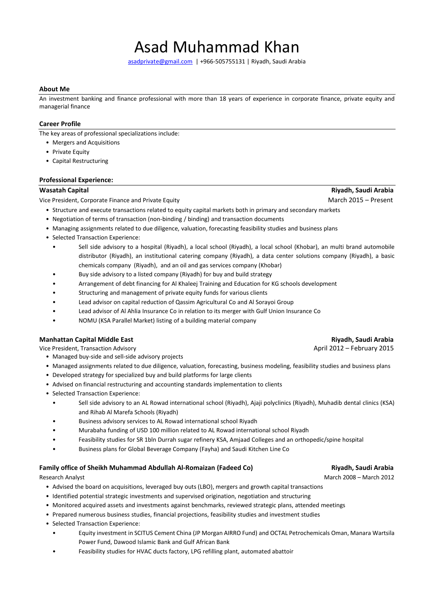# Asad Muhammad Khan

[asadprivate@gmail.com](mailto:asadprivate@gmail.com) | +966-505755131 | Riyadh, Saudi Arabia

### **About Me**

An investment banking and finance professional with more than 18 years of experience in corporate finance, private equity and managerial finance

### **Career Profile**

The key areas of professional specializations include:

- Mergers and Acquisitions
- Private Equity
- Capital Restructuring

#### **Professional Experience:**

Vice President, Corporate Finance and Private Equity March 2015 – Present

- Structure and execute transactions related to equity capital markets both in primary and secondary markets
- Negotiation of terms of transaction (non-binding / binding) and transaction documents
- Managing assignments related to due diligence, valuation, forecasting feasibility studies and business plans
- Selected Transaction Experience:
	- Sell side advisory to a hospital (Riyadh), a local school (Riyadh), a local school (Khobar), an multi brand automobile distributor (Riyadh), an institutional catering company (Riyadh), a data center solutions company (Riyadh), a basic chemicals company (Riyadh), and an oil and gas services company (Khobar)
	- Buy side advisory to a listed company (Riyadh) for buy and build strategy
	- Arrangement of debt financing for Al Khaleej Training and Education for KG schools development
	- Structuring and management of private equity funds for various clients
	- Lead advisor on capital reduction of Qassim Agricultural Co and Al Sorayoi Group
	- Lead advisor of Al Ahlia Insurance Co in relation to its merger with Gulf Union Insurance Co
	- NOMU (KSA Parallel Market) listing of a building material company

### **Manhattan Capital Middle East Riyadh, Saudi Arabia**

Vice President. Transaction Advisory April 2012 – February 2015

- Managed buy-side and sell-side advisory projects
- Managed assignments related to due diligence, valuation, forecasting, business modeling, feasibility studies and business plans
- Developed strategy for specialized buy and build platforms for large clients
- Advised on financial restructuring and accounting standards implementation to clients
- Selected Transaction Experience:
	- Sell side advisory to an AL Rowad international school (Riyadh), Ajaji polyclinics (Riyadh), Muhadib dental clinics (KSA) and Rihab Al Marefa Schools (Riyadh)
	- Business advisory services to AL Rowad international school Riyadh
	- Murabaha funding of USD 100 million related to AL Rowad international school Riyadh
	- Feasibility studies for SR 1bln Durrah sugar refinery KSA, Amjaad Colleges and an orthopedic/spine hospital
	- Business plans for Global Beverage Company (Fayha) and Saudi Kitchen Line Co

### **Family office of Sheikh Muhammad Abdullah Al-Romaizan (Fadeed Co) Riyadh, Saudi Arabia**

- Advised the board on acquisitions, leveraged buy outs (LBO), mergers and growth capital transactions
- Identified potential strategic investments and supervised origination, negotiation and structuring
- Monitored acquired assets and investments against benchmarks, reviewed strategic plans, attended meetings
- Prepared numerous business studies, financial projections, feasibility studies and investment studies
- Selected Transaction Experience:
	- Equity investment in SCITUS Cement China (JP Morgan AIRRO Fund) and OCTAL Petrochemicals Oman, Manara Wartsila Power Fund, Dawood Islamic Bank and Gulf African Bank
	- Feasibility studies for HVAC ducts factory, LPG refilling plant, automated abattoir

Research Analyst March 2008 – March 2008 – March 2008 – March 2008 – March 2008 – March 2012

**Wasatah Capital Riyadh, Saudi Arabia**